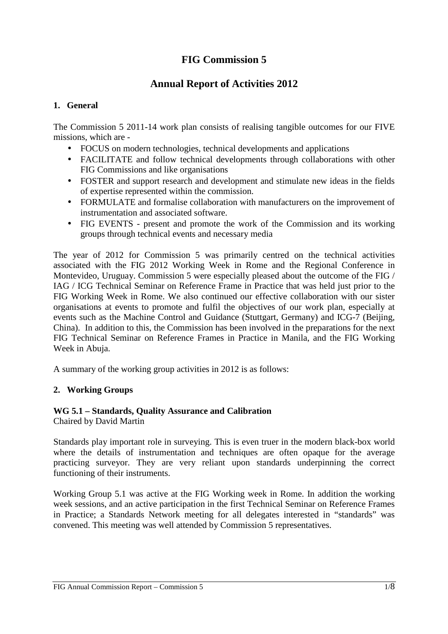# **FIG Commission 5**

# **Annual Report of Activities 2012**

### **1. General**

The Commission 5 2011-14 work plan consists of realising tangible outcomes for our FIVE missions, which are -

- FOCUS on modern technologies, technical developments and applications
- FACILITATE and follow technical developments through collaborations with other FIG Commissions and like organisations
- FOSTER and support research and development and stimulate new ideas in the fields of expertise represented within the commission.
- FORMULATE and formalise collaboration with manufacturers on the improvement of instrumentation and associated software.
- FIG EVENTS present and promote the work of the Commission and its working groups through technical events and necessary media

The year of 2012 for Commission 5 was primarily centred on the technical activities associated with the FIG 2012 Working Week in Rome and the Regional Conference in Montevideo, Uruguay. Commission 5 were especially pleased about the outcome of the FIG / IAG / ICG Technical Seminar on Reference Frame in Practice that was held just prior to the FIG Working Week in Rome. We also continued our effective collaboration with our sister organisations at events to promote and fulfil the objectives of our work plan, especially at events such as the Machine Control and Guidance (Stuttgart, Germany) and ICG-7 (Beijing, China). In addition to this, the Commission has been involved in the preparations for the next FIG Technical Seminar on Reference Frames in Practice in Manila, and the FIG Working Week in Abuja.

A summary of the working group activities in 2012 is as follows:

# **2. Working Groups**

# **WG 5.1 – Standards, Quality Assurance and Calibration**

Chaired by David Martin

Standards play important role in surveying. This is even truer in the modern black-box world where the details of instrumentation and techniques are often opaque for the average practicing surveyor. They are very reliant upon standards underpinning the correct functioning of their instruments.

Working Group 5.1 was active at the FIG Working week in Rome. In addition the working week sessions, and an active participation in the first Technical Seminar on Reference Frames in Practice; a Standards Network meeting for all delegates interested in "standards" was convened. This meeting was well attended by Commission 5 representatives.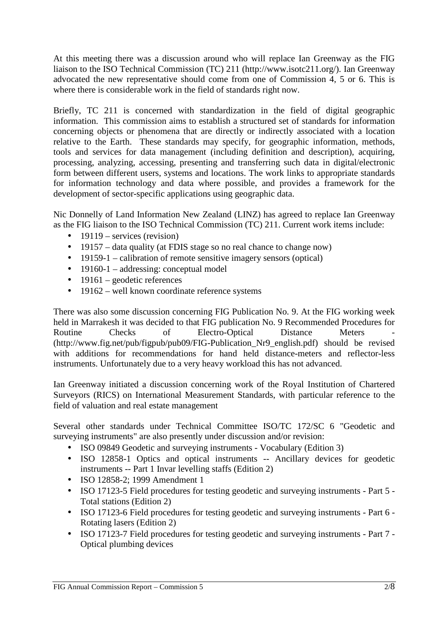At this meeting there was a discussion around who will replace Ian Greenway as the FIG liaison to the ISO Technical Commission (TC) 211 (http://www.isotc211.org/). Ian Greenway advocated the new representative should come from one of Commission 4, 5 or 6. This is where there is considerable work in the field of standards right now.

Briefly, TC 211 is concerned with standardization in the field of digital geographic information. This commission aims to establish a structured set of standards for information concerning objects or phenomena that are directly or indirectly associated with a location relative to the Earth. These standards may specify, for geographic information, methods, tools and services for data management (including definition and description), acquiring, processing, analyzing, accessing, presenting and transferring such data in digital/electronic form between different users, systems and locations. The work links to appropriate standards for information technology and data where possible, and provides a framework for the development of sector-specific applications using geographic data.

Nic Donnelly of Land Information New Zealand (LINZ) has agreed to replace Ian Greenway as the FIG liaison to the ISO Technical Commission (TC) 211. Current work items include:

- $\bullet$  19119 services (revision)
- 19157 data quality (at FDIS stage so no real chance to change now)
- 19159-1 calibration of remote sensitive imagery sensors (optical)
- 19160-1 addressing: conceptual model
- $\bullet$  19161 geodetic references
- $\bullet$  19162 well known coordinate reference systems

There was also some discussion concerning FIG Publication No. 9. At the FIG working week held in Marrakesh it was decided to that FIG publication No. 9 Recommended Procedures for Routine Checks of Electro-Optical Distance Meters (http://www.fig.net/pub/figpub/pub09/FIG-Publication\_Nr9\_english.pdf) should be revised with additions for recommendations for hand held distance-meters and reflector-less instruments. Unfortunately due to a very heavy workload this has not advanced.

Ian Greenway initiated a discussion concerning work of the Royal Institution of Chartered Surveyors (RICS) on International Measurement Standards, with particular reference to the field of valuation and real estate management

Several other standards under Technical Committee ISO/TC 172/SC 6 "Geodetic and surveying instruments" are also presently under discussion and/or revision:

- ISO 09849 Geodetic and surveying instruments Vocabulary (Edition 3)
- ISO 12858-1 Optics and optical instruments -- Ancillary devices for geodetic instruments -- Part 1 Invar levelling staffs (Edition 2)
- ISO 12858-2; 1999 Amendment 1
- ISO 17123-5 Field procedures for testing geodetic and surveying instruments Part 5 Total stations (Edition 2)
- ISO 17123-6 Field procedures for testing geodetic and surveying instruments Part 6 Rotating lasers (Edition 2)
- ISO 17123-7 Field procedures for testing geodetic and surveying instruments Part 7 Optical plumbing devices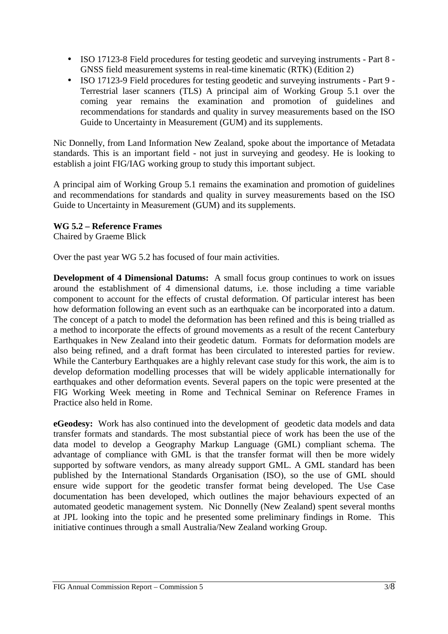- ISO 17123-8 Field procedures for testing geodetic and surveying instruments Part 8 GNSS field measurement systems in real-time kinematic (RTK) (Edition 2)
- ISO 17123-9 Field procedures for testing geodetic and surveying instruments Part 9 Terrestrial laser scanners (TLS) A principal aim of Working Group 5.1 over the coming year remains the examination and promotion of guidelines and recommendations for standards and quality in survey measurements based on the ISO Guide to Uncertainty in Measurement (GUM) and its supplements.

Nic Donnelly, from Land Information New Zealand, spoke about the importance of Metadata standards. This is an important field - not just in surveying and geodesy. He is looking to establish a joint FIG/IAG working group to study this important subject.

A principal aim of Working Group 5.1 remains the examination and promotion of guidelines and recommendations for standards and quality in survey measurements based on the ISO Guide to Uncertainty in Measurement (GUM) and its supplements.

## **WG 5.2 – Reference Frames**

Chaired by Graeme Blick

Over the past year WG 5.2 has focused of four main activities.

**Development of 4 Dimensional Datums:** A small focus group continues to work on issues around the establishment of 4 dimensional datums, i.e. those including a time variable component to account for the effects of crustal deformation. Of particular interest has been how deformation following an event such as an earthquake can be incorporated into a datum. The concept of a patch to model the deformation has been refined and this is being trialled as a method to incorporate the effects of ground movements as a result of the recent Canterbury Earthquakes in New Zealand into their geodetic datum. Formats for deformation models are also being refined, and a draft format has been circulated to interested parties for review. While the Canterbury Earthquakes are a highly relevant case study for this work, the aim is to develop deformation modelling processes that will be widely applicable internationally for earthquakes and other deformation events. Several papers on the topic were presented at the FIG Working Week meeting in Rome and Technical Seminar on Reference Frames in Practice also held in Rome.

**eGeodesy:** Work has also continued into the development of geodetic data models and data transfer formats and standards. The most substantial piece of work has been the use of the data model to develop a Geography Markup Language (GML) compliant schema. The advantage of compliance with GML is that the transfer format will then be more widely supported by software vendors, as many already support GML. A GML standard has been published by the International Standards Organisation (ISO), so the use of GML should ensure wide support for the geodetic transfer format being developed. The Use Case documentation has been developed, which outlines the major behaviours expected of an automated geodetic management system. Nic Donnelly (New Zealand) spent several months at JPL looking into the topic and he presented some preliminary findings in Rome. This initiative continues through a small Australia/New Zealand working Group.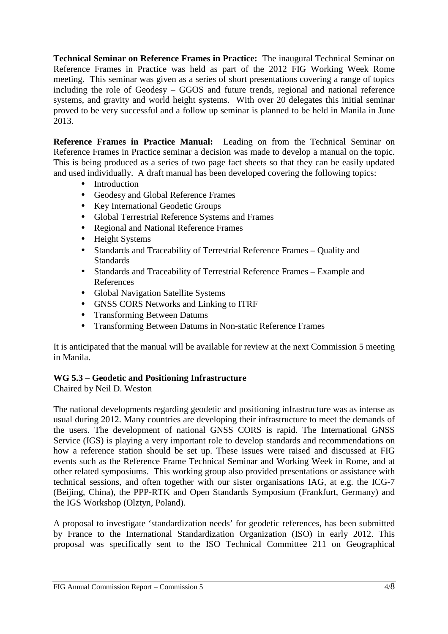**Technical Seminar on Reference Frames in Practice:** The inaugural Technical Seminar on Reference Frames in Practice was held as part of the 2012 FIG Working Week Rome meeting. This seminar was given as a series of short presentations covering a range of topics including the role of Geodesy – GGOS and future trends, regional and national reference systems, and gravity and world height systems. With over 20 delegates this initial seminar proved to be very successful and a follow up seminar is planned to be held in Manila in June 2013.

**Reference Frames in Practice Manual:** Leading on from the Technical Seminar on Reference Frames in Practice seminar a decision was made to develop a manual on the topic. This is being produced as a series of two page fact sheets so that they can be easily updated and used individually. A draft manual has been developed covering the following topics:

- Introduction
- Geodesy and Global Reference Frames
- Key International Geodetic Groups
- Global Terrestrial Reference Systems and Frames
- Regional and National Reference Frames
- Height Systems
- Standards and Traceability of Terrestrial Reference Frames Quality and **Standards**
- Standards and Traceability of Terrestrial Reference Frames Example and References
- Global Navigation Satellite Systems
- GNSS CORS Networks and Linking to ITRF
- Transforming Between Datums
- Transforming Between Datums in Non-static Reference Frames

It is anticipated that the manual will be available for review at the next Commission 5 meeting in Manila.

# **WG 5.3 – Geodetic and Positioning Infrastructure**

Chaired by Neil D. Weston

The national developments regarding geodetic and positioning infrastructure was as intense as usual during 2012. Many countries are developing their infrastructure to meet the demands of the users. The development of national GNSS CORS is rapid. The International GNSS Service (IGS) is playing a very important role to develop standards and recommendations on how a reference station should be set up. These issues were raised and discussed at FIG events such as the Reference Frame Technical Seminar and Working Week in Rome, and at other related symposiums. This working group also provided presentations or assistance with technical sessions, and often together with our sister organisations IAG, at e.g. the ICG-7 (Beijing, China), the PPP-RTK and Open Standards Symposium (Frankfurt, Germany) and the IGS Workshop (Olztyn, Poland).

A proposal to investigate 'standardization needs' for geodetic references, has been submitted by France to the International Standardization Organization (ISO) in early 2012. This proposal was specifically sent to the ISO Technical Committee 211 on Geographical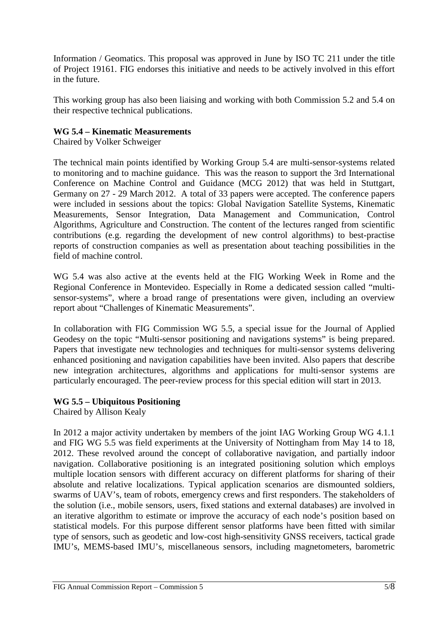Information / Geomatics. This proposal was approved in June by ISO TC 211 under the title of Project 19161. FIG endorses this initiative and needs to be actively involved in this effort in the future.

This working group has also been liaising and working with both Commission 5.2 and 5.4 on their respective technical publications.

### **WG 5.4 – Kinematic Measurements**

Chaired by Volker Schweiger

The technical main points identified by Working Group 5.4 are multi-sensor-systems related to monitoring and to machine guidance. This was the reason to support the 3rd International Conference on Machine Control and Guidance (MCG 2012) that was held in Stuttgart, Germany on 27 - 29 March 2012. A total of 33 papers were accepted. The conference papers were included in sessions about the topics: Global Navigation Satellite Systems, Kinematic Measurements, Sensor Integration, Data Management and Communication, Control Algorithms, Agriculture and Construction. The content of the lectures ranged from scientific contributions (e.g. regarding the development of new control algorithms) to best-practise reports of construction companies as well as presentation about teaching possibilities in the field of machine control.

WG 5.4 was also active at the events held at the FIG Working Week in Rome and the Regional Conference in Montevideo. Especially in Rome a dedicated session called "multisensor-systems", where a broad range of presentations were given, including an overview report about "Challenges of Kinematic Measurements".

In collaboration with FIG Commission WG 5.5, a special issue for the Journal of Applied Geodesy on the topic "Multi-sensor positioning and navigations systems" is being prepared. Papers that investigate new technologies and techniques for multi-sensor systems delivering enhanced positioning and navigation capabilities have been invited. Also papers that describe new integration architectures, algorithms and applications for multi-sensor systems are particularly encouraged. The peer-review process for this special edition will start in 2013.

### **WG 5.5 – Ubiquitous Positioning**

Chaired by Allison Kealy

In 2012 a major activity undertaken by members of the joint IAG Working Group WG 4.1.1 and FIG WG 5.5 was field experiments at the University of Nottingham from May 14 to 18, 2012. These revolved around the concept of collaborative navigation, and partially indoor navigation. Collaborative positioning is an integrated positioning solution which employs multiple location sensors with different accuracy on different platforms for sharing of their absolute and relative localizations. Typical application scenarios are dismounted soldiers, swarms of UAV's, team of robots, emergency crews and first responders. The stakeholders of the solution (i.e., mobile sensors, users, fixed stations and external databases) are involved in an iterative algorithm to estimate or improve the accuracy of each node's position based on statistical models. For this purpose different sensor platforms have been fitted with similar type of sensors, such as geodetic and low-cost high-sensitivity GNSS receivers, tactical grade IMU's, MEMS-based IMU's, miscellaneous sensors, including magnetometers, barometric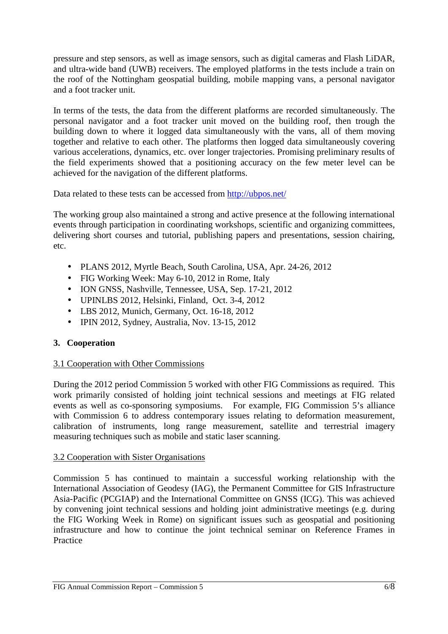pressure and step sensors, as well as image sensors, such as digital cameras and Flash LiDAR, and ultra-wide band (UWB) receivers. The employed platforms in the tests include a train on the roof of the Nottingham geospatial building, mobile mapping vans, a personal navigator and a foot tracker unit.

In terms of the tests, the data from the different platforms are recorded simultaneously. The personal navigator and a foot tracker unit moved on the building roof, then trough the building down to where it logged data simultaneously with the vans, all of them moving together and relative to each other. The platforms then logged data simultaneously covering various accelerations, dynamics, etc. over longer trajectories. Promising preliminary results of the field experiments showed that a positioning accuracy on the few meter level can be achieved for the navigation of the different platforms.

Data related to these tests can be accessed from http://ubpos.net/

The working group also maintained a strong and active presence at the following international events through participation in coordinating workshops, scientific and organizing committees, delivering short courses and tutorial, publishing papers and presentations, session chairing, etc.

- PLANS 2012, Myrtle Beach, South Carolina, USA, Apr. 24-26, 2012
- FIG Working Week: May 6-10, 2012 in Rome, Italy
- ION GNSS, Nashville, Tennessee, USA, Sep. 17-21, 2012
- UPINLBS 2012, Helsinki, Finland, Oct. 3-4, 2012
- LBS 2012, Munich, Germany, Oct. 16-18, 2012
- IPIN 2012, Sydney, Australia, Nov. 13-15, 2012

# **3. Cooperation**

# 3.1 Cooperation with Other Commissions

During the 2012 period Commission 5 worked with other FIG Commissions as required. This work primarily consisted of holding joint technical sessions and meetings at FIG related events as well as co-sponsoring symposiums. For example, FIG Commission 5's alliance with Commission 6 to address contemporary issues relating to deformation measurement, calibration of instruments, long range measurement, satellite and terrestrial imagery measuring techniques such as mobile and static laser scanning.

### 3.2 Cooperation with Sister Organisations

Commission 5 has continued to maintain a successful working relationship with the International Association of Geodesy (IAG), the Permanent Committee for GIS Infrastructure Asia-Pacific (PCGIAP) and the International Committee on GNSS (ICG). This was achieved by convening joint technical sessions and holding joint administrative meetings (e.g. during the FIG Working Week in Rome) on significant issues such as geospatial and positioning infrastructure and how to continue the joint technical seminar on Reference Frames in Practice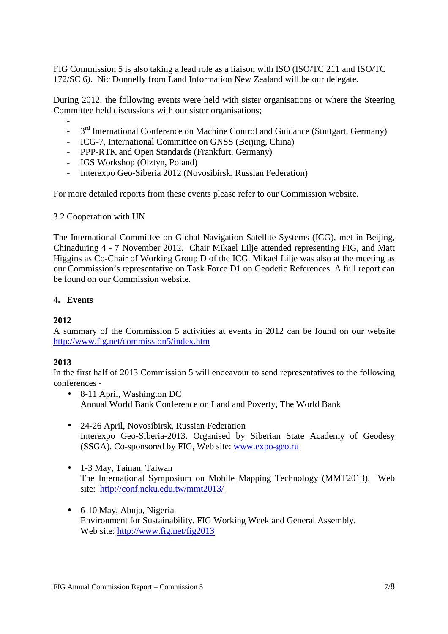FIG Commission 5 is also taking a lead role as a liaison with ISO (ISO/TC 211 and ISO/TC 172/SC 6). Nic Donnelly from Land Information New Zealand will be our delegate.

During 2012, the following events were held with sister organisations or where the Steering Committee held discussions with our sister organisations;

- <sup>-</sup> 3<sup>rd</sup> International Conference on Machine Control and Guidance (Stuttgart, Germany)
- ICG-7, International Committee on GNSS (Beijing, China)
- PPP-RTK and Open Standards (Frankfurt, Germany)
- IGS Workshop (Olztyn, Poland)
- Interexpo Geo-Siberia 2012 (Novosibirsk, Russian Federation)

For more detailed reports from these events please refer to our Commission website.

#### 3.2 Cooperation with UN

The International Committee on Global Navigation Satellite Systems (ICG), met in Beijing, Chinaduring 4 - 7 November 2012. Chair Mikael Lilje attended representing FIG, and Matt Higgins as Co-Chair of Working Group D of the ICG. Mikael Lilje was also at the meeting as our Commission's representative on Task Force D1 on Geodetic References. A full report can be found on our Commission website.

#### **4. Events**

#### **2012**

A summary of the Commission 5 activities at events in 2012 can be found on our website http://www.fig.net/commission5/index.htm

#### **2013**

In the first half of 2013 Commission 5 will endeavour to send representatives to the following conferences -

- 8-11 April, Washington DC Annual World Bank Conference on Land and Poverty, The World Bank
- 24-26 April, Novosibirsk, Russian Federation Interexpo Geo-Siberia-2013. Organised by Siberian State Academy of Geodesy (SSGA). Co-sponsored by FIG, Web site: www.expo-geo.ru
- 1-3 May, Tainan, Taiwan The International Symposium on Mobile Mapping Technology (MMT2013). Web site: http://conf.ncku.edu.tw/mmt2013/
- 6-10 May, Abuja, Nigeria Environment for Sustainability. FIG Working Week and General Assembly. Web site: http://www.fig.net/fig2013